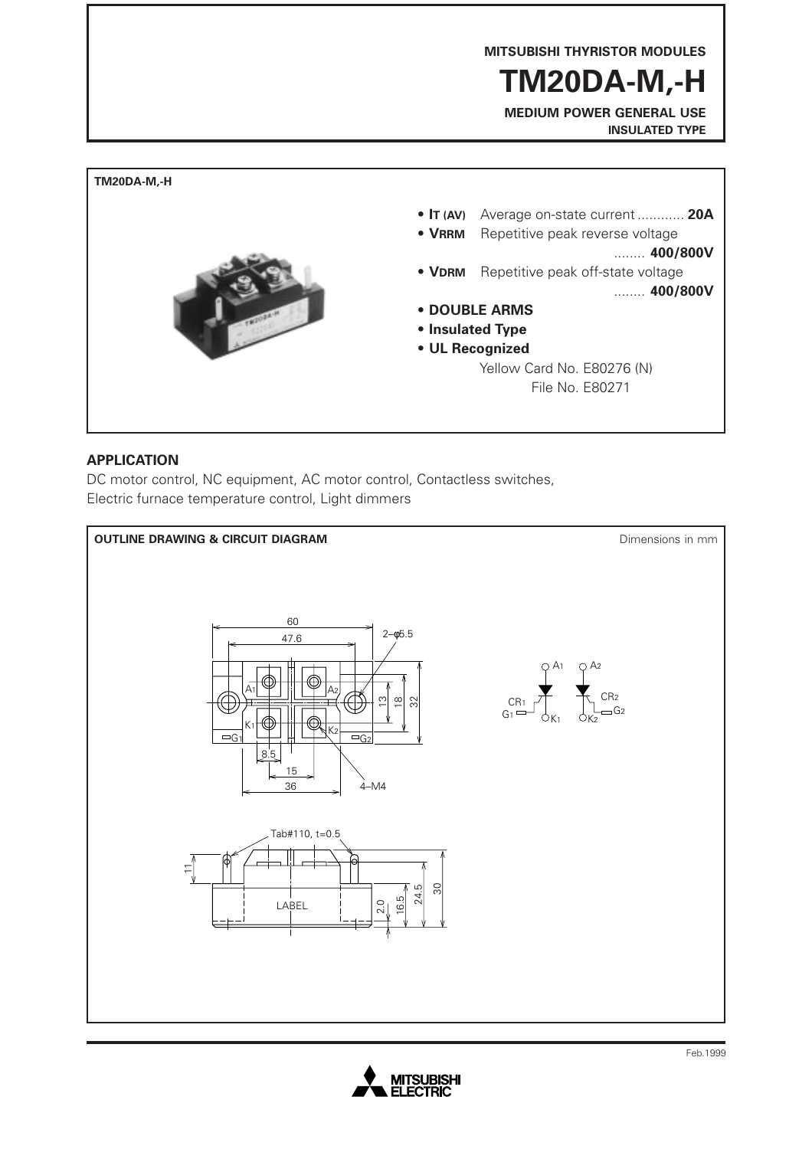**MITSUBISHI THYRISTOR MODULES**

# **TM20DA-M,-H**

**MEDIUM POWER GENERAL USE INSULATED TYPE**



### **APPLICATION**

DC motor control, NC equipment, AC motor control, Contactless switches, Electric furnace temperature control, Light dimmers



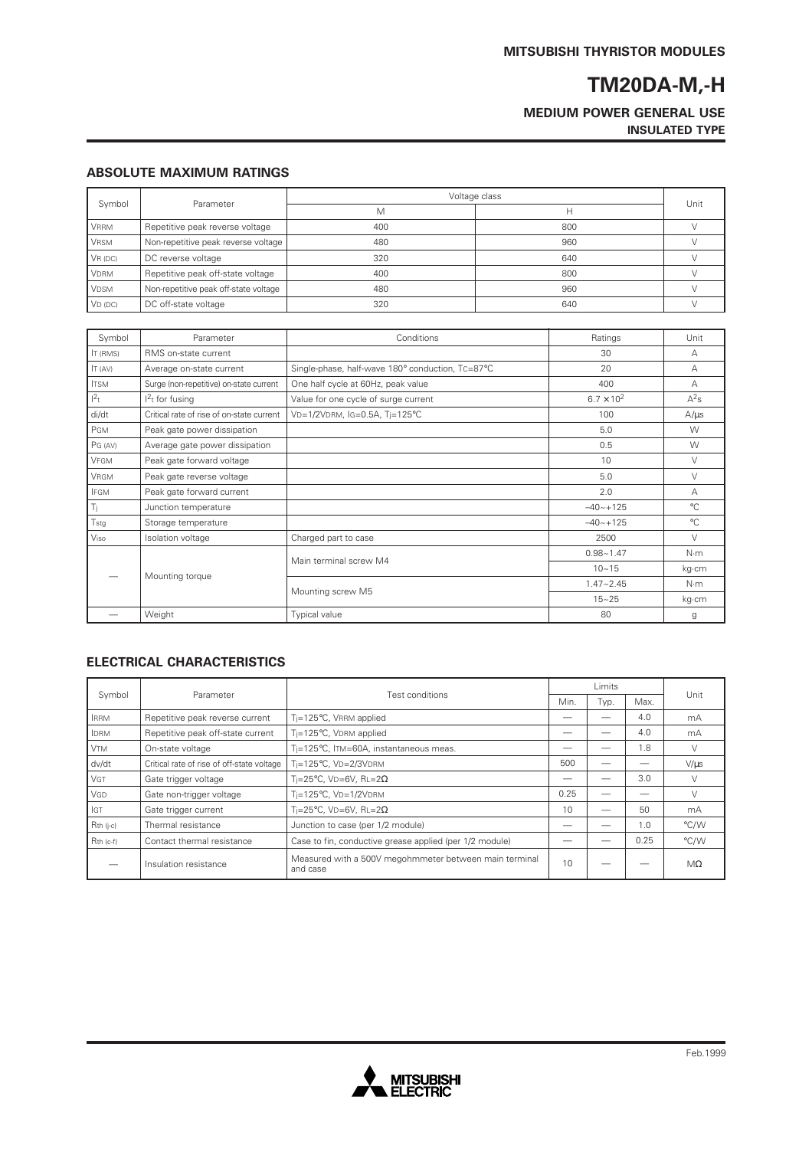### **MEDIUM POWER GENERAL USE INSULATED TYPE**

#### **ABSOLUTE MAXIMUM RATINGS**

| Symbol      | Parameter                             | Voltage class |     |      |
|-------------|---------------------------------------|---------------|-----|------|
|             |                                       | M             |     | Unit |
| <b>VRRM</b> | Repetitive peak reverse voltage       | 400           | 800 |      |
| <b>VRSM</b> | Non-repetitive peak reverse voltage   | 480           | 960 |      |
| VR(DC)      | DC reverse voltage                    | 320           | 640 |      |
| <b>VDRM</b> | Repetitive peak off-state voltage     | 400           | 800 |      |
| <b>VDSM</b> | Non-repetitive peak off-state voltage | 480           | 960 |      |
| $VD$ (DC)   | DC off-state voltage                  | 320           | 640 |      |

| Symbol          | Parameter                                 | Conditions                                       | Ratings             | Unit         |
|-----------------|-------------------------------------------|--------------------------------------------------|---------------------|--------------|
| <b>IT (RMS)</b> | RMS on-state current                      | 30                                               |                     | А            |
| IT (AV)         | Average on-state current                  | Single-phase, half-wave 180° conduction, TC=87°C | 20                  | А            |
| <b>ITSM</b>     | Surge (non-repetitive) on-state current   | One half cycle at 60Hz, peak value               | 400                 | А            |
| $1^2$ t         | $12t$ for fusing                          | Value for one cycle of surge current             | $6.7 \times 10^{2}$ | $A^2s$       |
| di/dt           | Critical rate of rise of on-state current | VD=1/2VDRM, IG=0.5A, Ti=125°C                    | 100                 | $A/\mu s$    |
| PGM             | Peak gate power dissipation               |                                                  | 5.0                 | W            |
| PG (AV)         | Average gate power dissipation            |                                                  | 0.5                 | W            |
| VFGM            | Peak gate forward voltage                 |                                                  | 10                  | V            |
| <b>VRGM</b>     | Peak gate reverse voltage                 |                                                  | 5.0                 | $\vee$       |
| <b>IFGM</b>     | Peak gate forward current                 |                                                  | 2.0                 | А            |
| Ti.             | Junction temperature                      |                                                  | $-40 - +125$        | $^{\circ}$ C |
| Tstg            | Storage temperature                       |                                                  | $-40 - +125$        | $^{\circ}$ C |
| Viso            | Isolation voltage                         | Charged part to case                             | 2500                | $\vee$       |
|                 | Mounting torque                           | Main terminal screw M4                           | $0.98 - 1.47$       | $N \cdot m$  |
|                 |                                           |                                                  | $10 - 15$           | kg∙cm        |
|                 |                                           | Mounting screw M5                                | $1.47 - 2.45$       | N·m          |
|                 |                                           |                                                  | $15 - 25$           | kg·cm        |
|                 | Weight                                    | Typical value                                    | 80                  | g            |

#### **ELECTRICAL CHARACTERISTICS**

| Symbol      | Parameter                                  |                                                                    | Limits |      |      |           |
|-------------|--------------------------------------------|--------------------------------------------------------------------|--------|------|------|-----------|
|             |                                            | Test conditions                                                    |        | Typ. | Max. | Unit      |
| <b>IRRM</b> | Repetitive peak reverse current            | T <sub>i</sub> =125°C, VRRM applied                                |        |      | 4.0  | mA        |
| <b>IDRM</b> | Repetitive peak off-state current          | T <sub>i</sub> =125°C, VDRM applied                                |        |      | 4.0  | mA        |
| <b>VTM</b>  | On-state voltage                           | Ti=125°C, ITM=60A, instantaneous meas.                             |        |      | 1.8  |           |
| dv/dt       | Critical rate of rise of off-state voltage | Ti=125°C, VD=2/3VDRM                                               | 500    |      |      | $V/\mu s$ |
| <b>VGT</b>  | Gate trigger voltage                       | Ti=25°C, VD=6V, RL=2 $\Omega$                                      |        |      | 3.0  |           |
| VGD         | Gate non-trigger voltage                   | $T_i = 125$ °C, VD= $1/2$ VDRM                                     | 0.25   |      |      |           |
| GT          | Gate trigger current                       | Ti=25°C. VD=6V. RL=2 $\Omega$                                      | 10     |      | 50   | mA        |
| $Rth$ (j-c) | Thermal resistance                         | Junction to case (per 1/2 module)                                  |        |      | 1.0  | °C/W      |
| Rth (c-f)   | Contact thermal resistance                 | Case to fin, conductive grease applied (per 1/2 module)            |        |      | 0.25 | °C/W      |
|             | Insulation resistance                      | Measured with a 500V megohmmeter between main terminal<br>and case | 10     |      |      | $M\Omega$ |

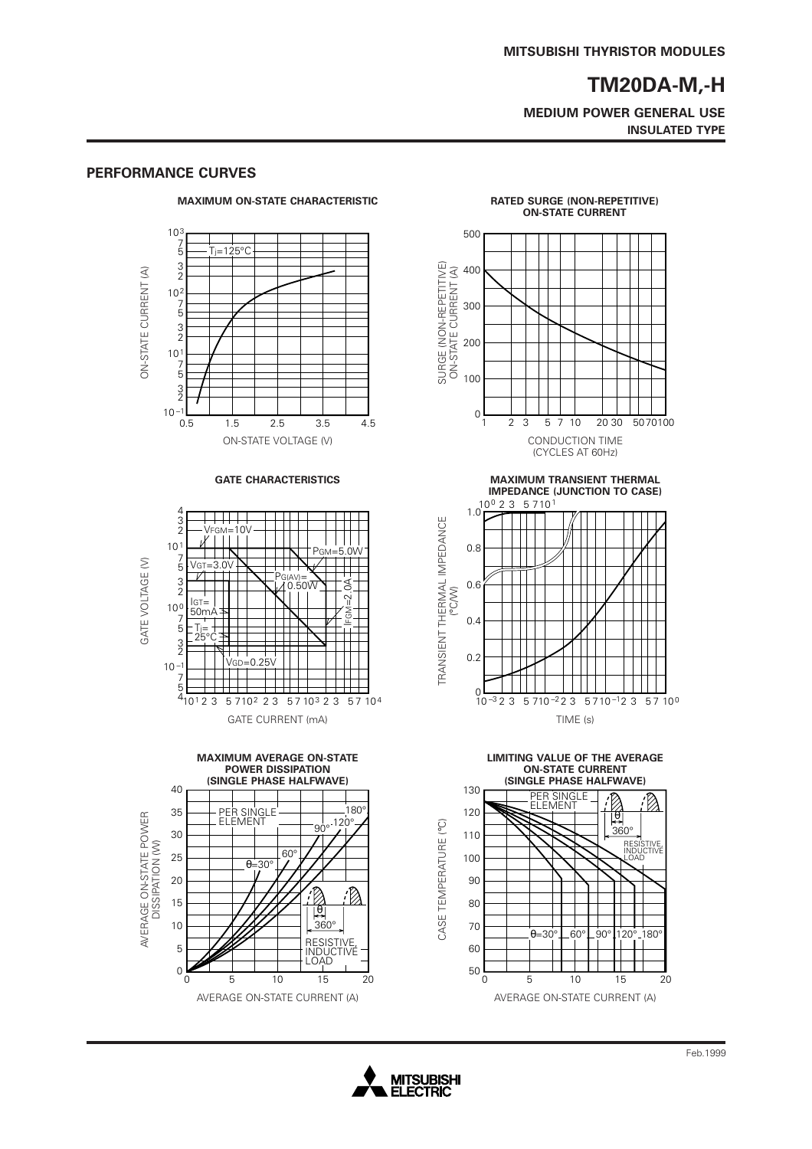**MEDIUM POWER GENERAL USE INSULATED TYPE**

#### **MAXIMUM ON-STATE CHARACTERISTIC**  $10<sup>3</sup>$ 7 5  $T_i=125^{\circ}C$ 3 2 SURGE (NON-REPETITIVE) ON-STATE CURRENT (A) ON-STATE CURRENT (A) ON-STATE CURRENT (A)  $10<sup>2</sup>$ 7 5 3 2  $10<sup>1</sup>$ 7 5 3 2  $10^{-1}$  – 0.5 0.5 1.5 2.5 3.5 4.5 1 2 3 5 7 10 20 30 50 70 100 1.5 2.5 3.5 4.5 ON-STATE VOLTAGE (V) CONDUCTION TIME GATE CHARACTERISTICS **MAXIMUM TRANSIENT THERMAL** 4 <u> 111 - 1</u> TRANSIENT THERMAL IMPEDANCE 3 2 TRANSIENT THERMAL IMPEDANCE .<br>Vfgm=10V<br>K | | | | 10 PGM=5.0W T T T 7 5 GATE VOLTAGE (V) GATE VOLTAGE (V) VGT=3.0V  $\overline{\nu}$  $\sum_{\mathcal{U}}$ PG(AV)= $\sum$ 3 2 IFGM=2.0A ∄ (°C/W) IGT= 50mA 10 0 ć 7 5 Tj= 25°C 3 2 VGD=0.25V 10 –1 ┯ 7 5  $4\overline{)10^12^3}$ 10<sup>1</sup>23 5710<sup>2</sup> 23 5710<sup>3</sup> 23 5710<sup>4</sup> GATE CURRENT (mA) TIME (s) **MAXIMUM AVERAGE ON-STATE POWER DISSIPATION (SINGLE PHASE HALFWAVE)** 40 35  $180$ AVERAGE ON-STATE POWER<br>DISSIPATION (W) PER SINGLE ELEMENT AVERAGE ON-STATE POWER  $120^\circ$  120° CASE TEMPERATURE (°C) CASE TEMPERATURE (°C) 30 DISSIPATION (W) 60° 25  $\theta=30^\circ$ 20 .<br>B  $\oslash$ 15 θ  $1<sup>1</sup>$ 360° **RESISTIVE** 5 INDUCTIVE LOAD 0 15 0 20 5 10 AVERAGE ON-STATE CURRENT (A) AVERAGE ON-STATE CURRENT (A)

#### **PERFORMANCE CURVES**





**IMPEDANCE (JUNCTION TO CASE)**





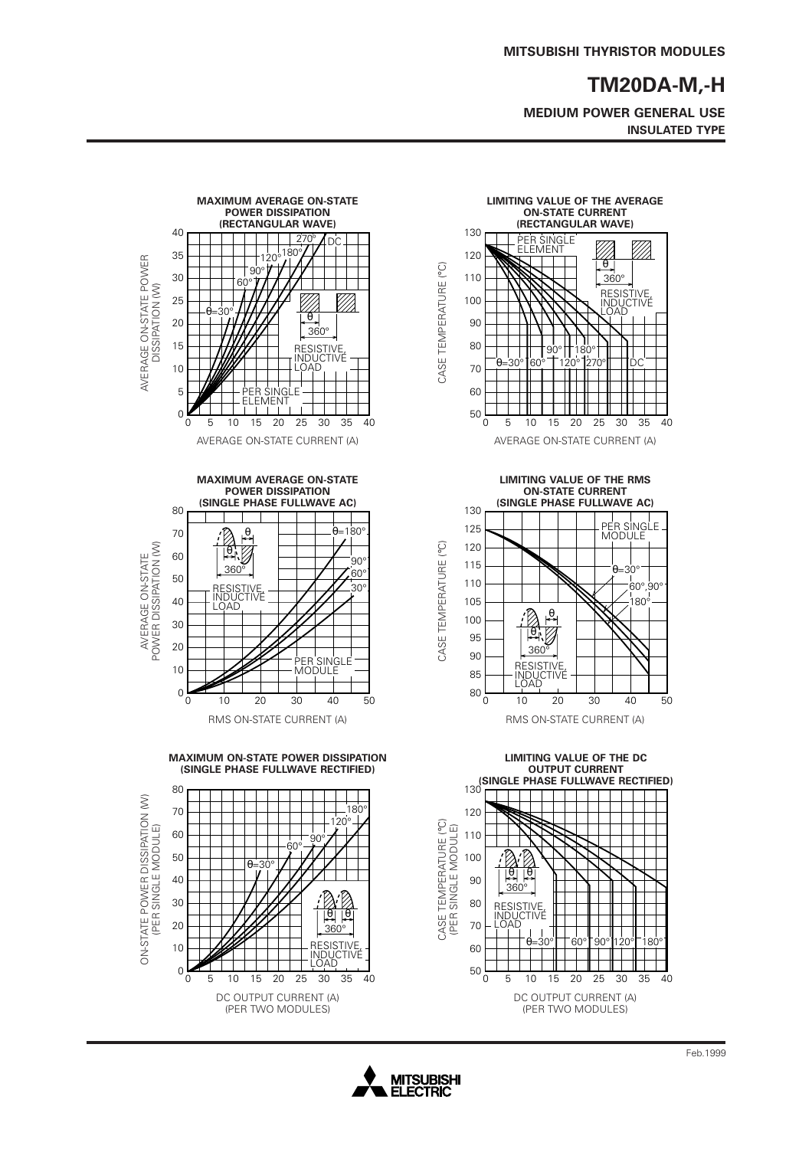**MEDIUM POWER GENERAL USE INSULATED TYPE**





**LIMITING VALUE OF THE RMS ON-STATE CURRENT**





**MITSUBISHI ELECTRIC**